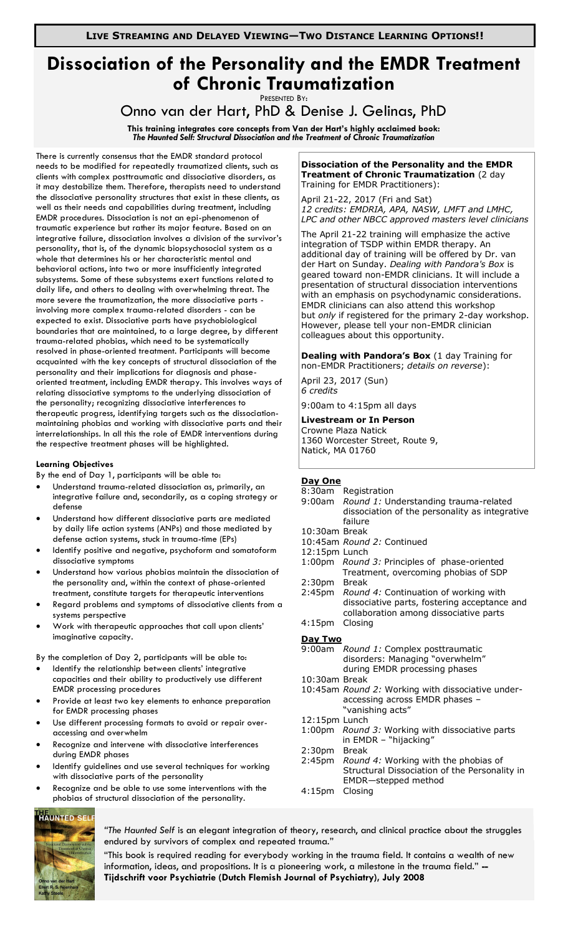# **Dissociation of the Personality and the EMDR Treatment of Chronic Traumatization**

PRESENTED BY:

Onno van der Hart, PhD & Denise J. Gelinas, PhD

**This training integrates core concepts from Van der Hart's highly acclaimed book:** *The Haunted Self: Structural Dissociation and the Treatment of Chronic Traumatization*

There is currently consensus that the EMDR standard protocol needs to be modified for repeatedly traumatized clients, such as clients with complex posttraumatic and dissociative disorders, as it may destabilize them. Therefore, therapists need to understand the dissociative personality structures that exist in these clients, as well as their needs and capabilities during treatment, including EMDR procedures. Dissociation is not an epi-phenomenon of traumatic experience but rather its major feature. Based on an integrative failure, dissociation involves a division of the survivor's personality, that is, of the dynamic biopsychosocial system as a whole that determines his or her characteristic mental and behavioral actions, into two or more insufficiently integrated subsystems. Some of these subsystems exert functions related to daily life, and others to dealing with overwhelming threat. The more severe the traumatization, the more dissociative parts involving more complex trauma-related disorders - can be expected to exist. Dissociative parts have psychobiological boundaries that are maintained, to a large degree, by different trauma-related phobias, which need to be systematically resolved in phase-oriented treatment. Participants will become acquainted with the key concepts of structural dissociation of the personality and their implications for diagnosis and phaseoriented treatment, including EMDR therapy. This involves ways of relating dissociative symptoms to the underlying dissociation of the personality; recognizing dissociative interferences to therapeutic progress, identifying targets such as the dissociationmaintaining phobias and working with dissociative parts and their interrelationships. In all this the role of EMDR interventions during the respective treatment phases will be highlighted.

#### **Learning Objectives**

By the end of Day 1, participants will be able to:

- Understand trauma-related dissociation as, primarily, an integrative failure and, secondarily, as a coping strategy or defense
- Understand how different dissociative parts are mediated by daily life action systems (ANPs) and those mediated by defense action systems, stuck in trauma-time (EPs)
- Identify positive and negative, psychoform and somatoform dissociative symptoms
- Understand how various phobias maintain the dissociation of the personality and, within the context of phase-oriented treatment, constitute targets for therapeutic interventions
- Regard problems and symptoms of dissociative clients from a systems perspective
- Work with therapeutic approaches that call upon clients' imaginative capacity.

By the completion of Day 2, participants will be able to:

- Identify the relationship between clients' integrative capacities and their ability to productively use different EMDR processing procedures
- Provide at least two key elements to enhance preparation for EMDR processing phases
- Use different processing formats to avoid or repair overaccessing and overwhelm
- Recognize and intervene with dissociative interferences during EMDR phases
- Identify guidelines and use several techniques for working with dissociative parts of the personality
- Recognize and be able to use some interventions with the phobias of structural dissociation of the personality.

## **HAUNTED SELI**

*"The Haunted Self* is an elegant integration of theory, research, and clinical practice about the struggles endured by survivors of complex and repeated trauma."

"This book is required reading for everybody working in the trauma field. It contains a wealth of new information, ideas, and propositions. It is a pioneering work, a milestone in the trauma field." **-- Tijdschrift voor Psychiatrie (Dutch Flemish Journal of Psychiatry), July 2008**

#### **Dissociation of the Personality and the EMDR Treatment of Chronic Traumatization** (2 day Training for EMDR Practitioners):

April 21-22, 2017 (Fri and Sat) *12 credits: EMDRIA, APA, NASW, LMFT and LMHC, LPC and other NBCC approved masters level clinicians*

The April 21-22 training will emphasize the active integration of TSDP within EMDR therapy. An additional day of training will be offered by Dr. van der Hart on Sunday. *Dealing with Pandora's Box* is geared toward non-EMDR clinicians. It will include a presentation of structural dissociation interventions with an emphasis on psychodynamic considerations. EMDR clinicians can also attend this workshop but *only* if registered for the primary 2-day workshop. However, please tell your non-EMDR clinician colleagues about this opportunity.

**Dealing with Pandora's Box** (1 day Training for non-EMDR Practitioners; *details on reverse*):

April 23, 2017 (Sun) *6 credits*

9:00am to 4:15pm all days

# **Livestream or In Person**

Crowne Plaza Natick 1360 Worcester Street, Route 9, Natick, MA 01760

#### **Day One**

- 8:30am Registration<br>9:00am Round 1: Un Round 1: Understanding trauma-related dissociation of the personality as integrative failure 10:30am Break
- 10:45am *Round 2:* Continued
- 12:15pm Lunch
- 1:00pm *Round 3:* Principles of phase-oriented Treatment, overcoming phobias of SDP 2:30pm Break
- 2:45pm *Round 4:* Continuation of working with dissociative parts, fostering acceptance and collaboration among dissociative parts 4:15pm Closing

### **Day Two**

| Pul 1990           |                                                   |
|--------------------|---------------------------------------------------|
|                    | 9:00am Round 1: Complex posttraumatic             |
|                    | disorders: Managing "overwhelm"                   |
|                    | during EMDR processing phases                     |
|                    |                                                   |
| 10:30am Break      |                                                   |
|                    | 10:45am Round 2: Working with dissociative under- |
|                    | accessing across EMDR phases -                    |
|                    | "vanishing acts"                                  |
| 12:15pm Lunch      |                                                   |
|                    | 1:00pm Round 3: Working with dissociative parts   |
|                    | in EMDR - "hijacking"                             |
| 2:30 <sub>pm</sub> | Break                                             |
|                    | 2:45pm Round 4: Working with the phobias of       |
|                    | Structural Dissociation of the Personality in     |
|                    |                                                   |
|                    | EMDR-stepped method                               |
| 4:15 <sub>pm</sub> | Closina                                           |
|                    |                                                   |